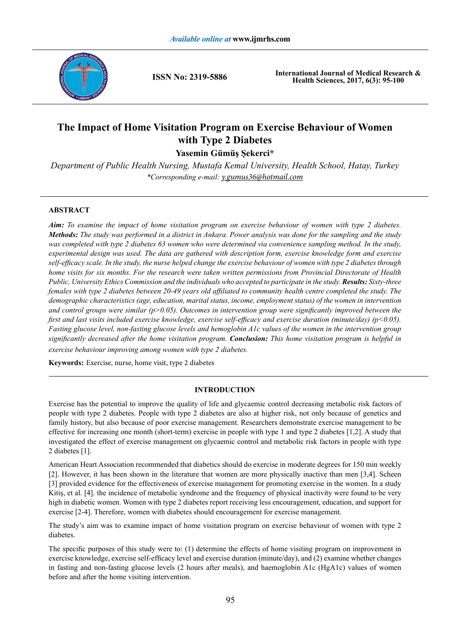

**ISSN No: 2319-5886**

**International Journal of Medical Research & Health Sciences, 2017, 6(3): 95-100**

# **The Impact of Home Visitation Program on Exercise Behaviour of Women with Type 2 Diabetes**

**Yasemin Gümüş Şekerci\***

*Department of Public Health Nursing, Mustafa Kemal University, Health School, Hatay, Turkey \*Corresponding e-mail: y.gumus36@hotmail.com*

# **ABSTRACT**

*Aim: To examine the impact of home visitation program on exercise behaviour of women with type 2 diabetes. Methods: The study was performed in a district in Ankara. Power analysis was done for the sampling and the study was completed with type 2 diabetes 63 women who were determined via convenience sampling method. In the study, experimental design was used. The data are gathered with description form, exercise knowledge form and exercise self-efficacy scale. In the study, the nurse helped change the exercise behaviour of women with type 2 diabetes through home visits for six months. For the research were taken written permissions from Provincial Directorate of Health Public, University Ethics Commission and the individuals who accepted to participate in the study. Results: Sixty-three females with type 2 diabetes between 20-49 years old affiliated to community health centre completed the study. The demographic characteristics (age, education, marital status, income, employment status) of the women in intervention and control groups were similar (p>0.05). Outcomes in intervention group were significantly improved between the first and last visits included exercise knowledge, exercise self-efficacy and exercise duration (minute/day) (p<0.05). Fasting glucose level, non-fasting glucose levels and hemoglobin A1c values of the women in the intervention group significantly decreased after the home visitation program. Conclusion: This home visitation program is helpful in exercise behaviour improving among women with type 2 diabetes.*

**Keywords:** Exercise, nurse, home visit, type 2 diabetes

# **INTRODUCTION**

Exercise has the potential to improve the quality of life and glycaemic control decreasing metabolic risk factors of people with type 2 diabetes. People with type 2 diabetes are also at higher risk, not only because of genetics and family history, but also because of poor exercise management. Researchers demonstrate exercise management to be effective for increasing one month (short-term) exercise in people with type 1 and type 2 diabetes [1,2]. A study that investigated the effect of exercise management on glycaemic control and metabolic risk factors in people with type 2 diabetes [1].

American Heart Association recommended that diabetics should do exercise in moderate degrees for 150 min weekly [2]. However, it has been shown in the literature that women are more physically inactive than men [3,4]. Scheen [3] provided evidence for the effectiveness of exercise management for promoting exercise in the women. In a study Kitiş, et al. [4]. the incidence of metabolic syndrome and the frequency of physical inactivity were found to be very high in diabetic women. Women with type 2 diabetes report receiving less encouragement, education, and support for exercise [2-4]. Therefore, women with diabetes should encouragement for exercise management.

The study's aim was to examine impact of home visitation program on exercise behaviour of women with type 2 diabetes.

The specific purposes of this study were to: (1) determine the effects of home visiting program on improvement in exercise knowledge, exercise self-efficacy level and exercise duration (minute/day), and (2) examine whether changes in fasting and non-fasting glucose levels (2 hours after meals), and haemoglobin A1c (HgA1c) values of women before and after the home visiting intervention.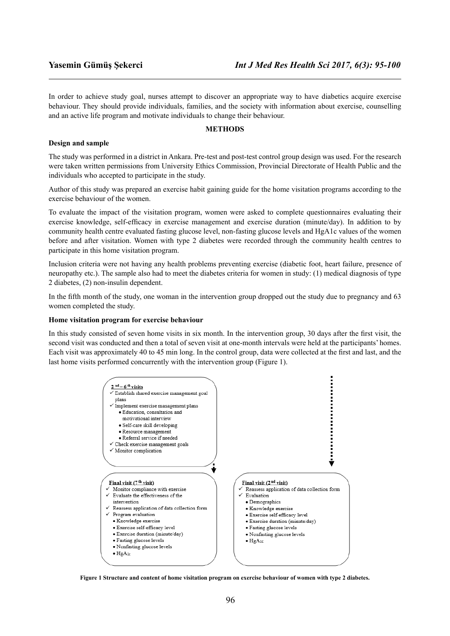In order to achieve study goal, nurses attempt to discover an appropriate way to have diabetics acquire exercise behaviour. They should provide individuals, families, and the society with information about exercise, counselling and an active life program and motivate individuals to change their behaviour.

## **METHODS**

#### **Design and sample**

The study was performed in a district in Ankara. Pre-test and post-test control group design was used. For the research were taken written permissions from University Ethics Commission, Provincial Directorate of Health Public and the individuals who accepted to participate in the study.

Author of this study was prepared an exercise habit gaining guide for the home visitation programs according to the exercise behaviour of the women.

To evaluate the impact of the visitation program, women were asked to complete questionnaires evaluating their exercise knowledge, self-efficacy in exercise management and exercise duration (minute/day). In addition to by community health centre evaluated fasting glucose level, non-fasting glucose levels and HgA1c values of the women before and after visitation. Women with type 2 diabetes were recorded through the community health centres to participate in this home visitation program.

Inclusion criteria were not having any health problems preventing exercise (diabetic foot, heart failure, presence of neuropathy etc.). The sample also had to meet the diabetes criteria for women in study: (1) medical diagnosis of type 2 diabetes, (2) non-insulin dependent.

In the fifth month of the study, one woman in the intervention group dropped out the study due to pregnancy and 63 women completed the study.

#### **Home visitation program for exercise behaviour**

In this study consisted of seven home visits in six month. In the intervention group, 30 days after the first visit, the second visit was conducted and then a total of seven visit at one-month intervals were held at the participants' homes. Each visit was approximately 40 to 45 min long. In the control group, data were collected at the first and last, and the last home visits performed concurrently with the intervention group (Figure 1).



**Figure 1 Structure and content of home visitation program on exercise behaviour of women with type 2 diabetes.**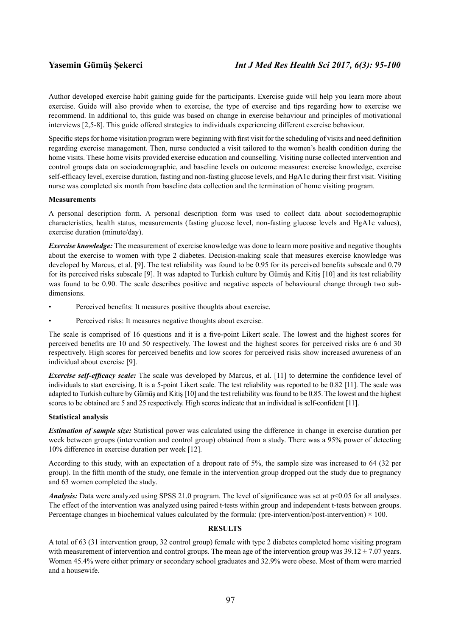Author developed exercise habit gaining guide for the participants. Exercise guide will help you learn more about exercise. Guide will also provide when to exercise, the type of exercise and tips regarding how to exercise we recommend. In additional to, this guide was based on change in exercise behaviour and principles of motivational interviews [2,5-8]. This guide offered strategies to individuals experiencing different exercise behaviour.

Specific steps for home visitation program were beginning with first visit for the scheduling of visits and need definition regarding exercise management. Then, nurse conducted a visit tailored to the women's health condition during the home visits. These home visits provided exercise education and counselling. Visiting nurse collected intervention and control groups data on sociodemographic, and baseline levels on outcome measures: exercise knowledge, exercise self-efficacy level, exercise duration, fasting and non-fasting glucose levels, and HgA1c during their first visit. Visiting nurse was completed six month from baseline data collection and the termination of home visiting program.

### **Measurements**

A personal description form. A personal description form was used to collect data about sociodemographic characteristics, health status, measurements (fasting glucose level, non-fasting glucose levels and HgA1c values), exercise duration (minute/day).

*Exercise knowledge:* The measurement of exercise knowledge was done to learn more positive and negative thoughts about the exercise to women with type 2 diabetes. Decision-making scale that measures exercise knowledge was developed by Marcus, et al. [9]. The test reliability was found to be 0.95 for its perceived benefits subscale and 0.79 for its perceived risks subscale [9]. It was adapted to Turkish culture by Gümüş and Kitiş [10] and its test reliability was found to be 0.90. The scale describes positive and negative aspects of behavioural change through two subdimensions.

- Perceived benefits: It measures positive thoughts about exercise.
- Perceived risks: It measures negative thoughts about exercise.

The scale is comprised of 16 questions and it is a five-point Likert scale. The lowest and the highest scores for perceived benefits are 10 and 50 respectively. The lowest and the highest scores for perceived risks are 6 and 30 respectively. High scores for perceived benefits and low scores for perceived risks show increased awareness of an individual about exercise [9].

*Exercise self-efficacy scale:* The scale was developed by Marcus, et al. [11] to determine the confidence level of individuals to start exercising. It is a 5-point Likert scale. The test reliability was reported to be 0.82 [11]. The scale was adapted to Turkish culture by Gümüş and Kitiş [10] and the test reliability was found to be 0.85. The lowest and the highest scores to be obtained are 5 and 25 respectively. High scores indicate that an individual is self-confident [11].

# **Statistical analysis**

*Estimation of sample size:* Statistical power was calculated using the difference in change in exercise duration per week between groups (intervention and control group) obtained from a study. There was a 95% power of detecting 10% difference in exercise duration per week [12].

According to this study, with an expectation of a dropout rate of 5%, the sample size was increased to 64 (32 per group). In the fifth month of the study, one female in the intervention group dropped out the study due to pregnancy and 63 women completed the study.

*Analysis:* Data were analyzed using SPSS 21.0 program. The level of significance was set at p<0.05 for all analyses. The effect of the intervention was analyzed using paired t-tests within group and independent t-tests between groups. Percentage changes in biochemical values calculated by the formula: (pre-intervention/post-intervention)  $\times$  100.

# **RESULTS**

A total of 63 (31 intervention group, 32 control group) female with type 2 diabetes completed home visiting program with measurement of intervention and control groups. The mean age of the intervention group was  $39.12 \pm 7.07$  years. Women 45.4% were either primary or secondary school graduates and 32.9% were obese. Most of them were married and a housewife.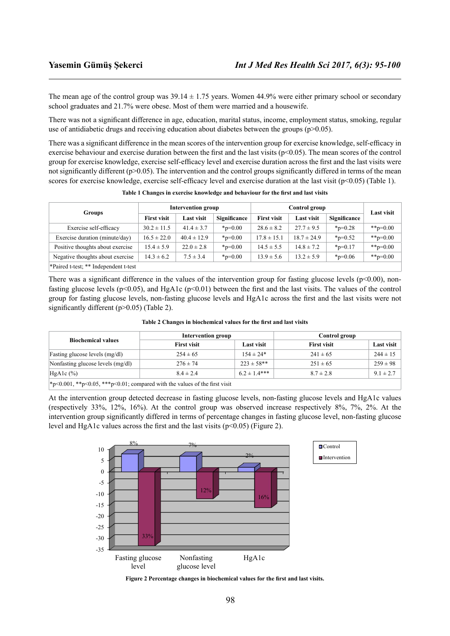The mean age of the control group was  $39.14 \pm 1.75$  years. Women 44.9% were either primary school or secondary school graduates and 21.7% were obese. Most of them were married and a housewife.

There was not a significant difference in age, education, marital status, income, employment status, smoking, regular use of antidiabetic drugs and receiving education about diabetes between the groups ( $p>0.05$ ).

There was a significant difference in the mean scores of the intervention group for exercise knowledge, self-efficacy in exercise behaviour and exercise duration between the first and the last visits ( $p<0.05$ ). The mean scores of the control group for exercise knowledge, exercise self-efficacy level and exercise duration across the first and the last visits were not significantly different ( $p>0.05$ ). The intervention and the control groups significantly differed in terms of the mean scores for exercise knowledge, exercise self-efficacy level and exercise duration at the last visit (p<0.05) (Table 1).

| <b>Groups</b>                         | <b>Intervention group</b> |                   |                  | Control group      |                   |              | <b>Last visit</b> |
|---------------------------------------|---------------------------|-------------------|------------------|--------------------|-------------------|--------------|-------------------|
|                                       | <b>First visit</b>        | <b>Last visit</b> | Significance     | <b>First visit</b> | <b>Last visit</b> | Significance |                   |
| Exercise self-efficacy                | $30.2 \pm 11.5$           | $41.4 \pm 3.7$    | $_{\rm sp=0.00}$ | $28.6 \pm 8.2$     | $27.7 \pm 9.5$    | $*_{p=0.28}$ | **p= $0.00$       |
| Exercise duration (minute/day)        | $16.5 \pm 22.0$           | $40.4 \pm 12.9$   | $_{\rm sp=0.00}$ | $17.8 \pm 15.1$    | $18.7 \pm 24.9$   | $*_{p=0.52}$ | **p= $0.00$       |
| Positive thoughts about exercise      | $15.4 \pm 5.9$            | $22.0 \pm 2.8$    | $_{\rm sp=0.00}$ | $14.5 \pm 5.5$     | $14.8 \pm 7.2$    | $*_{p=0.17}$ | **p= $0.00$       |
| Negative thoughts about exercise      | $14.3 \pm 6.2$            | $7.5 \pm 3.4$     | $_{\rm sp=0.00}$ | $13.9 \pm 5.6$     | $13.2 \pm 5.9$    | $*_{p=0.06}$ | **p= $0.00$       |
| *Paired t-test: ** Independent t-test |                           |                   |                  |                    |                   |              |                   |

**Table 1 Changes in exercise knowledge and behaviour for the first and last visits**

There was a significant difference in the values of the intervention group for fasting glucose levels ( $p<0.00$ ), nonfasting glucose levels ( $p<0.05$ ), and HgA1c ( $p<0.01$ ) between the first and the last visits. The values of the control group for fasting glucose levels, non-fasting glucose levels and HgA1c across the first and the last visits were not significantly different (p>0.05) (Table 2).

|  |  |  | Table 2 Changes in biochemical values for the first and last visits |  |  |  |  |
|--|--|--|---------------------------------------------------------------------|--|--|--|--|
|--|--|--|---------------------------------------------------------------------|--|--|--|--|

|                                                                                                           | <b>Intervention group</b> |                  | Control group      |               |  |
|-----------------------------------------------------------------------------------------------------------|---------------------------|------------------|--------------------|---------------|--|
| <b>Biochemical values</b>                                                                                 | <b>First visit</b>        | Last visit       | <b>First visit</b> | Last visit    |  |
| Fasting glucose levels (mg/dl)                                                                            | $254 \pm 65$              | $154 \pm 24*$    | $241 \pm 65$       | $244 \pm 15$  |  |
| Nonfasting glucose levels (mg/dl)                                                                         | $276 \pm 74$              | $223 \pm 58$ **  | $251 \pm 65$       | $259 \pm 98$  |  |
| $HgA1c$ $(\% )$                                                                                           | $8.4 \pm 2.4$             | $6.2 \pm 1.4***$ | $8.7 \pm 2.8$      | $9.1 \pm 2.7$ |  |
| $*_{\mathbb{R}}$ 001 $*_{\mathbb{R}}$ 05 $*_{\mathbb{R}}$ 01; compared with the values of the first visit |                           |                  |                    |               |  |

 $*p<0.001$ ,  $*p<0.05$ ,  $**p<0.01$ ; compared with the values of the first visit

At the intervention group detected decrease in fasting glucose levels, non-fasting glucose levels and HgA1c values (respectively 33%, 12%, 16%). At the control group was observed increase respectively 8%, 7%, 2%. At the intervention group significantly differed in terms of percentage changes in fasting glucose level, non-fasting glucose level and HgA1c values across the first and the last visits ( $p \le 0.05$ ) (Figure 2).



**Figure 2 Percentage changes in biochemical values for the first and last visits.**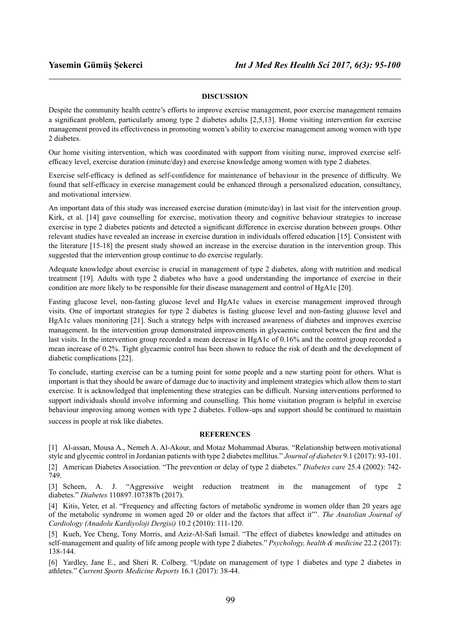## **DISCUSSION**

Despite the community health centre's efforts to improve exercise management, poor exercise management remains a significant problem, particularly among type 2 diabetes adults [2,5,13]. Home visiting intervention for exercise management proved its effectiveness in promoting women's ability to exercise management among women with type 2 diabetes.

Our home visiting intervention, which was coordinated with support from visiting nurse, improved exercise selfefficacy level, exercise duration (minute/day) and exercise knowledge among women with type 2 diabetes.

Exercise self-efficacy is defined as self-confidence for maintenance of behaviour in the presence of difficulty. We found that self-efficacy in exercise management could be enhanced through a personalized education, consultancy, and motivational interview.

An important data of this study was increased exercise duration (minute/day) in last visit for the intervention group. Kirk, et al. [14] gave counselling for exercise, motivation theory and cognitive behaviour strategies to increase exercise in type 2 diabetes patients and detected a significant difference in exercise duration between groups. Other relevant studies have revealed an increase in exercise duration in individuals offered education [15]. Consistent with the literature [15-18] the present study showed an increase in the exercise duration in the intervention group. This suggested that the intervention group continue to do exercise regularly.

Adequate knowledge about exercise is crucial in management of type 2 diabetes, along with nutrition and medical treatment [19]. Adults with type 2 diabetes who have a good understanding the importance of exercise in their condition are more likely to be responsible for their disease management and control of HgA1c [20].

Fasting glucose level, non-fasting glucose level and HgA1c values in exercise management improved through visits. One of important strategies for type 2 diabetes is fasting glucose level and non-fasting glucose level and HgA1c values monitoring [21]. Such a strategy helps with increased awareness of diabetes and improves exercise management. In the intervention group demonstrated improvements in glycaemic control between the first and the last visits. In the intervention group recorded a mean decrease in HgA1c of 0.16% and the control group recorded a mean increase of 0.2%. Tight glycaemic control has been shown to reduce the risk of death and the development of diabetic complications [22].

To conclude, starting exercise can be a turning point for some people and a new starting point for others. What is important is that they should be aware of damage due to inactivity and implement strategies which allow them to start exercise. It is acknowledged that implementing these strategies can be difficult. Nursing interventions performed to support individuals should involve informing and counselling. This home visitation program is helpful in exercise behaviour improving among women with type 2 diabetes. Follow-ups and support should be continued to maintain success in people at risk like diabetes.

#### **REFERENCES**

[1] Al-assan, Mousa A., Nemeh A. Al-Akour, and Motaz Mohammad Aburas. "Relationship between motivational style and glycemic control in Jordanian patients with type 2 diabetes mellitus." *Journal of diabetes* 9.1 (2017): 93-101.

[2] American Diabetes Association. "The prevention or delay of type 2 diabetes." *Diabetes care* 25.4 (2002): 742- 749.

[3] Scheen, A. J. "Aggressive weight reduction treatment in the management of type 2 diabetes." *Diabetes* 110897.107387b (2017).

[4] Kitis, Yeter, et al. "Frequency and affecting factors of metabolic syndrome in women older than 20 years age of the metabolic syndrome in women aged 20 or older and the factors that affect it"'. *The Anatolian Journal of Cardiology (Anadolu Kardiyoloji Dergisi)* 10.2 (2010): 111-120.

[5] Kueh, Yee Cheng, Tony Morris, and Aziz-Al-Safi Ismail. "The effect of diabetes knowledge and attitudes on self-management and quality of life among people with type 2 diabetes." *Psychology, health & medicine* 22.2 (2017): 138-144.

[6] Yardley, Jane E., and Sheri R. Colberg. "Update on management of type 1 diabetes and type 2 diabetes in athletes." *Current Sports Medicine Reports* 16.1 (2017): 38-44.